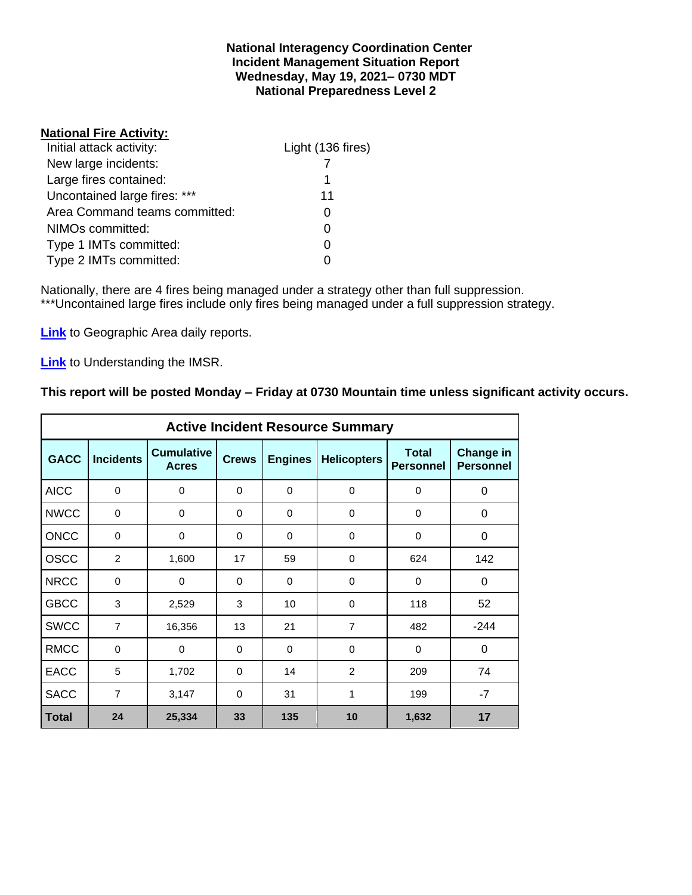#### **National Interagency Coordination Center Incident Management Situation Report Wednesday, May 19, 2021– 0730 MDT National Preparedness Level 2**

#### **National Fire Activity:**

| Initial attack activity:      | Light (136 fires) |
|-------------------------------|-------------------|
| New large incidents:          |                   |
| Large fires contained:        | 1                 |
| Uncontained large fires: ***  | 11                |
| Area Command teams committed: |                   |
| NIMOs committed:              |                   |
| Type 1 IMTs committed:        |                   |
| Type 2 IMTs committed:        |                   |

Nationally, there are 4 fires being managed under a strategy other than full suppression. \*\*\*Uncontained large fires include only fires being managed under a full suppression strategy.

**[Link](http://www.nifc.gov/nicc/predictive/statelinks.htm)** to Geographic Area daily reports.

**[Link](https://www.predictiveservices.nifc.gov/intelligence/Understanding%20the%20IMSR%202019.pdf)** to Understanding the IMSR.

## **This report will be posted Monday – Friday at 0730 Mountain time unless significant activity occurs.**

|              |                  |                                   |              |                | <b>Active Incident Resource Summary</b> |                                  |                                      |
|--------------|------------------|-----------------------------------|--------------|----------------|-----------------------------------------|----------------------------------|--------------------------------------|
| <b>GACC</b>  | <b>Incidents</b> | <b>Cumulative</b><br><b>Acres</b> | <b>Crews</b> | <b>Engines</b> | <b>Helicopters</b>                      | <b>Total</b><br><b>Personnel</b> | <b>Change in</b><br><b>Personnel</b> |
| <b>AICC</b>  | $\mathbf 0$      | 0                                 | $\Omega$     | $\mathbf 0$    | 0                                       | 0                                | 0                                    |
| <b>NWCC</b>  | 0                | 0                                 | 0            | $\mathbf 0$    | 0                                       | 0                                | 0                                    |
| <b>ONCC</b>  | $\Omega$         | 0                                 | $\Omega$     | $\Omega$       | $\Omega$                                | $\Omega$                         | $\Omega$                             |
| <b>OSCC</b>  | 2                | 1,600                             | 17           | 59             | 0                                       | 624                              | 142                                  |
| <b>NRCC</b>  | $\mathbf 0$      | $\mathbf 0$                       | $\Omega$     | $\Omega$       | $\Omega$                                | $\Omega$                         | 0                                    |
| <b>GBCC</b>  | 3                | 2,529                             | 3            | 10             | $\Omega$                                | 118                              | 52                                   |
| <b>SWCC</b>  | $\overline{7}$   | 16,356                            | 13           | 21             | $\overline{7}$                          | 482                              | $-244$                               |
| <b>RMCC</b>  | $\mathbf 0$      | $\Omega$                          | $\Omega$     | $\Omega$       | $\Omega$                                | $\Omega$                         | 0                                    |
| <b>EACC</b>  | 5                | 1,702                             | $\Omega$     | 14             | 2                                       | 209                              | 74                                   |
| <b>SACC</b>  | $\overline{7}$   | 3,147                             | $\Omega$     | 31             | 1                                       | 199                              | $-7$                                 |
| <b>Total</b> | 24               | 25,334                            | 33           | 135            | 10                                      | 1,632                            | 17                                   |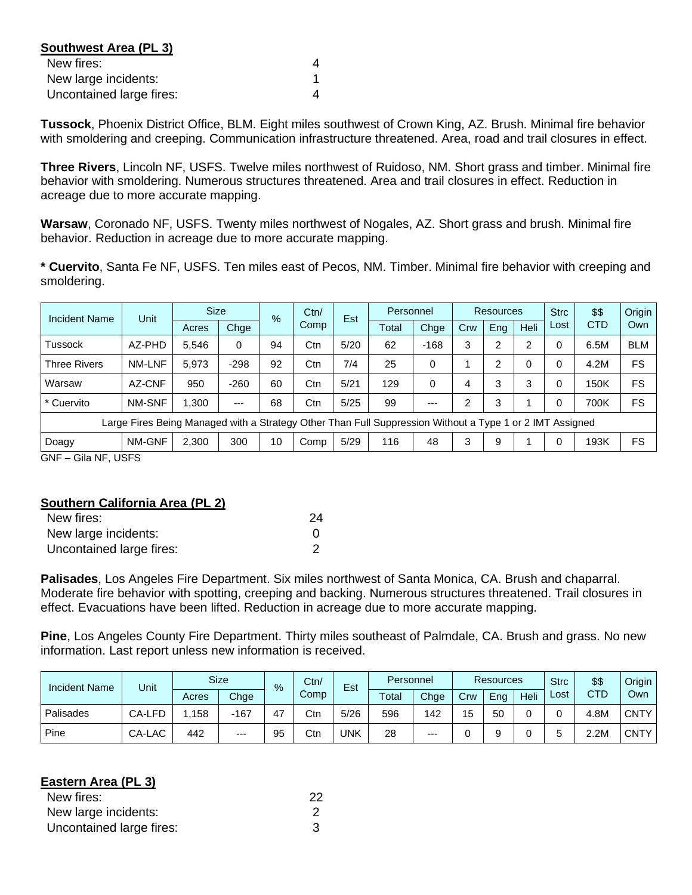| Southwest Area (PL 3)    |  |
|--------------------------|--|
| New fires:               |  |
| New large incidents:     |  |
| Uncontained large fires: |  |

**Tussock**, Phoenix District Office, BLM. Eight miles southwest of Crown King, AZ. Brush. Minimal fire behavior with smoldering and creeping. Communication infrastructure threatened. Area, road and trail closures in effect.

**Three Rivers**, Lincoln NF, USFS. Twelve miles northwest of Ruidoso, NM. Short grass and timber. Minimal fire behavior with smoldering. Numerous structures threatened. Area and trail closures in effect. Reduction in acreage due to more accurate mapping.

**Warsaw**, Coronado NF, USFS. Twenty miles northwest of Nogales, AZ. Short grass and brush. Minimal fire behavior. Reduction in acreage due to more accurate mapping.

**\* Cuervito**, Santa Fe NF, USFS. Ten miles east of Pecos, NM. Timber. Minimal fire behavior with creeping and smoldering.

| Unit                                                                                                     | <b>Size</b>               |        |    | Ctn/          |      |       | Personnel |     |     |                | <b>Strc</b>      | \$\$ | Origin     |
|----------------------------------------------------------------------------------------------------------|---------------------------|--------|----|---------------|------|-------|-----------|-----|-----|----------------|------------------|------|------------|
|                                                                                                          | Acres                     | Chge   |    | Comp          |      | Total | Chge      | Crw | Eng | Heli           | Lost             |      | Own        |
| AZ-PHD                                                                                                   | 5.546                     | 0      | 94 | Ctn           | 5/20 | 62    | $-168$    | 3   | 2   | $\overline{2}$ |                  | 6.5M | <b>BLM</b> |
| NM-LNF                                                                                                   | 5.973                     | $-298$ | 92 | Ctn           | 7/4  | 25    | 0         |     | 2   | 0              |                  | 4.2M | FS         |
| AZ-CNF                                                                                                   | 950                       | $-260$ | 60 | Ctn           | 5/21 | 129   | 0         | 4   | 3   | 3              |                  | 150K | FS         |
| NM-SNF                                                                                                   | 1.300                     | ---    | 68 | Ctn           | 5/25 | 99    | $--$      | 2   | 3   |                |                  | 700K | FS         |
| Large Fires Being Managed with a Strategy Other Than Full Suppression Without a Type 1 or 2 IMT Assigned |                           |        |    |               |      |       |           |     |     |                |                  |      |            |
| NM-GNF                                                                                                   | 2,300                     | 300    | 10 | Comp          | 5/29 | 116   | 48        | 3   | 9   |                |                  | 193K | FS         |
|                                                                                                          | $C_{\text{max}}$ MP LIGES |        |    | $\frac{9}{6}$ |      | Est   |           |     |     |                | <b>Resources</b> |      | <b>CTD</b> |

GNF – Gila NF, USFS

## **Southern California Area (PL 2)**

| New fires:               | 24 |
|--------------------------|----|
| New large incidents:     |    |
| Uncontained large fires: |    |

**Palisades**, Los Angeles Fire Department. Six miles northwest of Santa Monica, CA. Brush and chaparral. Moderate fire behavior with spotting, creeping and backing. Numerous structures threatened. Trail closures in effect. Evacuations have been lifted. Reduction in acreage due to more accurate mapping.

**Pine**, Los Angeles County Fire Department. Thirty miles southeast of Palmdale, CA. Brush and grass. No new information. Last report unless new information is received.

| <b>Incident Name</b> | Unit   |       | <b>Size</b> |    | Ctn/<br>% |      | Personnel |       | <b>Resources</b> |     |      | <b>Strc</b> | \$\$       | Origin      |
|----------------------|--------|-------|-------------|----|-----------|------|-----------|-------|------------------|-----|------|-------------|------------|-------------|
|                      |        | Acres | Chge        |    | Comp      | Est  | Total     | Chge  | Crw              | Eng | Heli | ∟ost        | <b>CTD</b> | Ownl        |
| Palisades            | CA-LFD | 158   | $-167$      | 47 | Ctn       | 5/26 | 596       | 142   | 15               | 50  |      |             | 4.8M       | <b>CNTY</b> |
| Pine                 | CA-LAC | 442   | $---$       | 95 | Ctn       | UNK  | 28        | $---$ |                  |     |      |             | 2.2M       | <b>CNTY</b> |

| <b>Eastern Area (PL 3)</b> |    |
|----------------------------|----|
| New fires:                 | 22 |
| New large incidents:       |    |
| Uncontained large fires:   |    |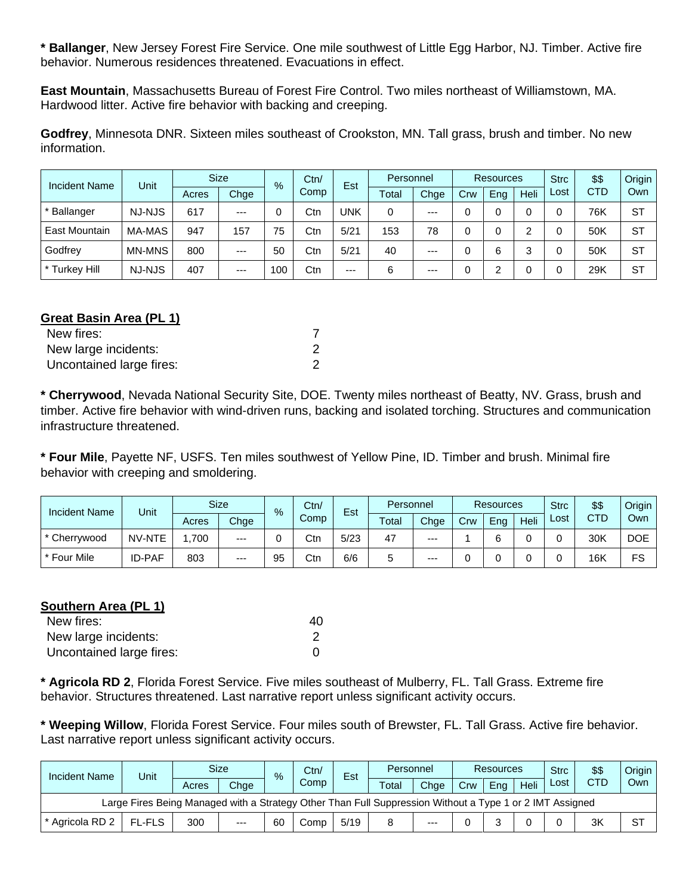**\* Ballanger**, New Jersey Forest Fire Service. One mile southwest of Little Egg Harbor, NJ. Timber. Active fire behavior. Numerous residences threatened. Evacuations in effect.

**East Mountain**, Massachusetts Bureau of Forest Fire Control. Two miles northeast of Williamstown, MA. Hardwood litter. Active fire behavior with backing and creeping.

**Godfrey**, Minnesota DNR. Sixteen miles southeast of Crookston, MN. Tall grass, brush and timber. No new information.

| <b>Incident Name</b> | Unit          | <b>Size</b> |       | $\frac{9}{6}$ | Ctn/ | Est   | Personnel |       | Resources |     |      | <b>Strc</b> | \$\$       | <b>Origin</b> |
|----------------------|---------------|-------------|-------|---------------|------|-------|-----------|-------|-----------|-----|------|-------------|------------|---------------|
|                      |               | Acres       | Chge  |               | Comp |       | Total     | Chge  | Crw       | Eng | Heli | Lost        | <b>CTD</b> | Own           |
| * Ballanger          | NJ-NJS        | 617         | $---$ |               | Ctn  | UNK   | $\Omega$  | $---$ |           |     |      |             | 76K        | -ST           |
| <b>East Mountain</b> | MA-MAS        | 947         | 157   | 75            | Ctn  | 5/21  | 153       | 78    |           |     |      |             | 50K        | <b>ST</b>     |
| Godfrey              | <b>MN-MNS</b> | 800         | $---$ | 50            | Ctn  | 5/21  | 40        | $---$ |           | 6   | 2    |             | 50K        | ST            |
| * Turkey Hill        | <b>NJ-NJS</b> | 407         | $---$ | 100           | Ctn  | $---$ | 6         | $---$ |           |     |      |             | 29K        | <b>ST</b>     |

# **Great Basin Area (PL 1)**

| New fires:               |  |
|--------------------------|--|
| New large incidents:     |  |
| Uncontained large fires: |  |

**\* Cherrywood**, Nevada National Security Site, DOE. Twenty miles northeast of Beatty, NV. Grass, brush and timber. Active fire behavior with wind-driven runs, backing and isolated torching. Structures and communication infrastructure threatened.

**\* Four Mile**, Payette NF, USFS. Ten miles southwest of Yellow Pine, ID. Timber and brush. Minimal fire behavior with creeping and smoldering.

| <b>Incident Name</b> | Unit          |       | <b>Size</b> | $\frac{9}{6}$ | Ctn/ | Est  |       | Personnel |     | <b>Resources</b> |      |      | \$\$ | Origin |
|----------------------|---------------|-------|-------------|---------------|------|------|-------|-----------|-----|------------------|------|------|------|--------|
|                      |               | Acres | Chge        |               | Comp |      | Total | Chge      | Crw | Eng              | Heli | Lost | CTD  | Own    |
| * Cherrywood         | NV-NTE        | 700   | $--$        |               | Ctn  | 5/23 | 47    | $---$     |     |                  |      |      | 30K  | DOE    |
| * Four Mile          | <b>ID-PAF</b> | 803   | $--$        | 95            | Ctn  | 6/6  | э     | ---       |     |                  |      |      | 16K  | FS     |

## **Southern Area (PL 1)**

| New fires:               | 40 |
|--------------------------|----|
| New large incidents:     |    |
| Uncontained large fires: |    |

**\* Agricola RD 2**, Florida Forest Service. Five miles southeast of Mulberry, FL. Tall Grass. Extreme fire behavior. Structures threatened. Last narrative report unless significant activity occurs.

**\* Weeping Willow**, Florida Forest Service. Four miles south of Brewster, FL. Tall Grass. Active fire behavior. Last narrative report unless significant activity occurs.

|  | <b>Incident Name</b>                                                                                     | Unit          | <b>Size</b> |       |    | Ctn/<br>$\%$ |      | Est   |       | Personnel |     | Resources |      |            | \$\$ | Origin |
|--|----------------------------------------------------------------------------------------------------------|---------------|-------------|-------|----|--------------|------|-------|-------|-----------|-----|-----------|------|------------|------|--------|
|  |                                                                                                          |               | Acres       | Chge  |    | Comp         |      | Total | Chae  | Crw       | Ena | Heli      | Lost | <b>CTD</b> | Own  |        |
|  | Large Fires Being Managed with a Strategy Other Than Full Suppression Without a Type 1 or 2 IMT Assigned |               |             |       |    |              |      |       |       |           |     |           |      |            |      |        |
|  | * Agricola RD 2                                                                                          | <b>FL-FLS</b> | 300         | $---$ | 60 | Comp         | 5/19 |       | $---$ |           |     |           |      | 3K         | SТ   |        |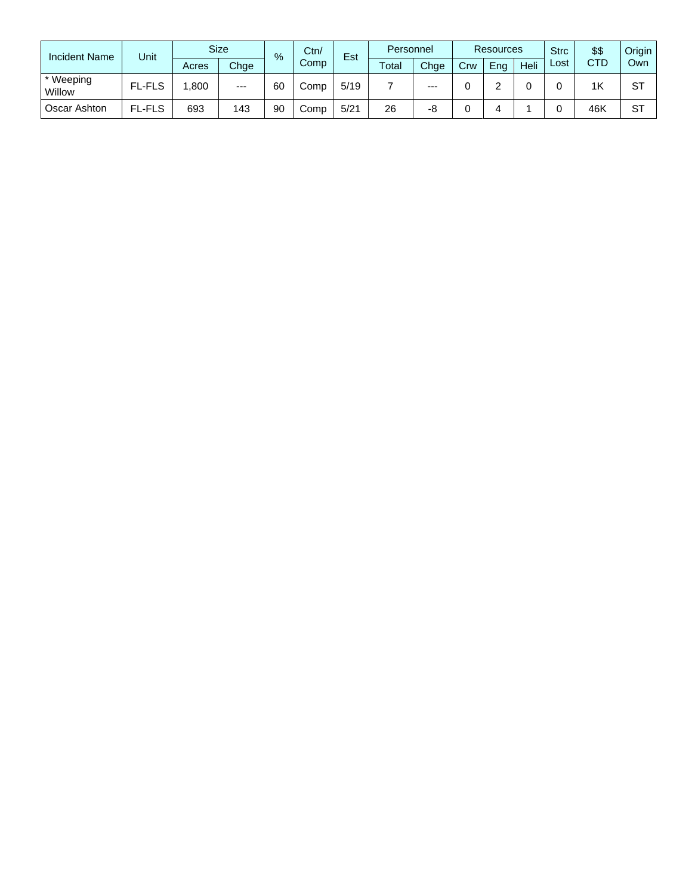| <b>Incident Name</b> | Unit          | <b>Size</b> |       | $\%$ | Ctn/ | Est  | Personnel |       | <b>Resources</b> |     | <b>Strc</b> | \$\$ | Origin     |     |
|----------------------|---------------|-------------|-------|------|------|------|-----------|-------|------------------|-----|-------------|------|------------|-----|
|                      |               | Acres       | Chge  |      | Comp |      | Total     | Chge  | Crw              | Ena | Heli        | Lost | <b>CTD</b> | Own |
| * Weeping<br>Willow  | <b>FL-FLS</b> | .800        | $---$ | 60   | Comp | 5/19 |           | $---$ |                  |     |             |      | 1K         | ST  |
| Oscar Ashton         | <b>FL-FLS</b> | 693         | 143   | 90   | Comp | 5/21 | 26        | -8    |                  |     |             |      | 46K        | ST  |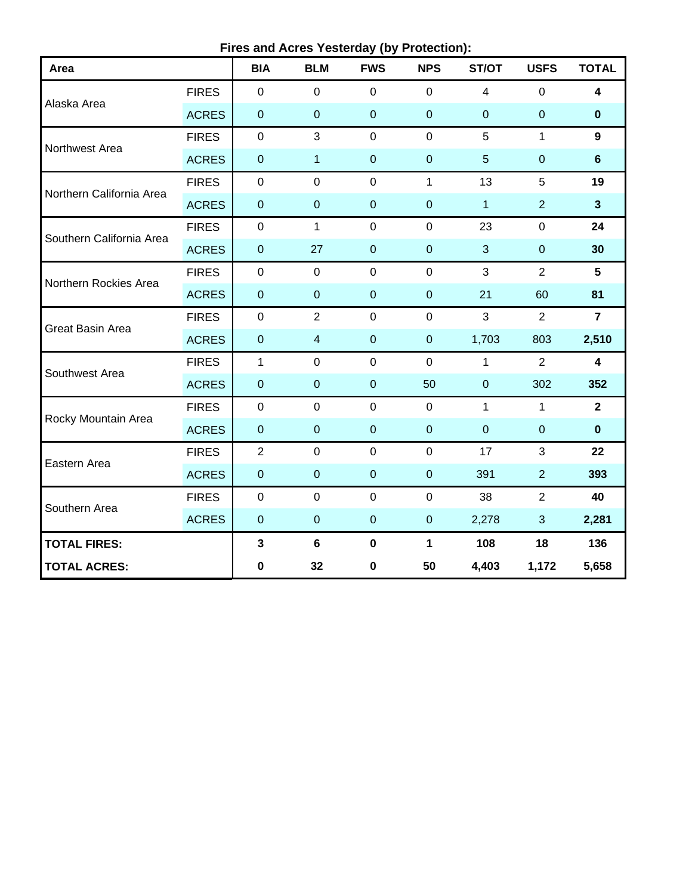**Fires and Acres Yesterday (by Protection):**

| Area                     |              | <b>BIA</b>       | <b>BLM</b>              | <b>FWS</b>       | <b>NPS</b>       | ST/OT           | <b>USFS</b>    | <b>TOTAL</b>   |
|--------------------------|--------------|------------------|-------------------------|------------------|------------------|-----------------|----------------|----------------|
|                          | <b>FIRES</b> | $\pmb{0}$        | $\mathbf 0$             | $\mathbf 0$      | $\mathbf 0$      | $\overline{4}$  | $\mathbf 0$    | 4              |
| Alaska Area              | <b>ACRES</b> | $\pmb{0}$        | $\overline{0}$          | $\mathbf 0$      | $\overline{0}$   | $\mathbf{0}$    | $\overline{0}$ | $\mathbf 0$    |
| Northwest Area           | <b>FIRES</b> | $\mathbf 0$      | 3                       | $\mathbf 0$      | $\mathbf 0$      | 5               | $\mathbf{1}$   | $\overline{9}$ |
|                          | <b>ACRES</b> | $\pmb{0}$        | $\mathbf{1}$            | $\mathbf 0$      | $\boldsymbol{0}$ | $5\phantom{.0}$ | $\pmb{0}$      | $6\phantom{a}$ |
| Northern California Area | <b>FIRES</b> | $\mathsf 0$      | $\pmb{0}$               | $\pmb{0}$        | $\mathbf{1}$     | 13              | 5              | 19             |
|                          | <b>ACRES</b> | $\pmb{0}$        | $\pmb{0}$               | $\mathbf 0$      | $\overline{0}$   | 1               | $\overline{2}$ | $\mathbf{3}$   |
| Southern California Area | <b>FIRES</b> | $\boldsymbol{0}$ | $\mathbf{1}$            | $\mathbf 0$      | $\mathbf 0$      | 23              | $\pmb{0}$      | 24             |
|                          | <b>ACRES</b> | $\pmb{0}$        | 27                      | $\boldsymbol{0}$ | $\mathbf 0$      | $\mathbf{3}$    | $\pmb{0}$      | 30             |
| Northern Rockies Area    | <b>FIRES</b> | $\mathbf 0$      | $\mathbf 0$             | $\overline{0}$   | $\mathbf{0}$     | 3               | $\overline{2}$ | 5              |
|                          | <b>ACRES</b> | $\boldsymbol{0}$ | $\mathbf 0$             | $\overline{0}$   | $\overline{0}$   | 21              | 60             | 81             |
| Great Basin Area         | <b>FIRES</b> | $\boldsymbol{0}$ | $\overline{2}$          | $\mathbf 0$      | $\mathbf 0$      | $\mathfrak{S}$  | $\overline{2}$ | $\overline{7}$ |
|                          | <b>ACRES</b> | $\pmb{0}$        | $\overline{\mathbf{4}}$ | $\mathbf 0$      | $\mathbf 0$      | 1,703           | 803            | 2,510          |
| Southwest Area           | <b>FIRES</b> | $\mathbf{1}$     | $\mathbf 0$             | $\mathbf 0$      | $\mathbf 0$      | $\mathbf{1}$    | $\overline{2}$ | 4              |
|                          | <b>ACRES</b> | $\pmb{0}$        | $\boldsymbol{0}$        | $\mathbf 0$      | 50               | $\mathbf{0}$    | 302            | 352            |
| Rocky Mountain Area      | <b>FIRES</b> | $\pmb{0}$        | $\mathbf 0$             | $\mathbf 0$      | $\mathbf 0$      | $\mathbf{1}$    | $\mathbf{1}$   | $\mathbf{2}$   |
|                          | <b>ACRES</b> | $\pmb{0}$        | $\boldsymbol{0}$        | $\mathbf 0$      | $\overline{0}$   | $\overline{0}$  | $\pmb{0}$      | $\mathbf 0$    |
| Eastern Area             | <b>FIRES</b> | $\overline{2}$   | $\mathbf 0$             | $\mathbf 0$      | $\mathbf 0$      | 17              | 3              | 22             |
|                          | <b>ACRES</b> | $\pmb{0}$        | $\pmb{0}$               | $\mathbf 0$      | $\boldsymbol{0}$ | 391             | $\overline{2}$ | 393            |
| Southern Area            | <b>FIRES</b> | $\pmb{0}$        | $\mathbf 0$             | $\boldsymbol{0}$ | $\mathbf 0$      | 38              | $\overline{2}$ | 40             |
|                          | <b>ACRES</b> | $\pmb{0}$        | $\pmb{0}$               | $\mathbf 0$      | $\overline{0}$   | 2,278           | 3              | 2,281          |
| <b>TOTAL FIRES:</b>      | $\mathbf{3}$ | $\bf 6$          | $\mathbf 0$             | $\mathbf{1}$     | 108              | 18              | 136            |                |
| <b>TOTAL ACRES:</b>      | $\pmb{0}$    | 32               | $\pmb{0}$               | 50               | 4,403            | 1,172           | 5,658          |                |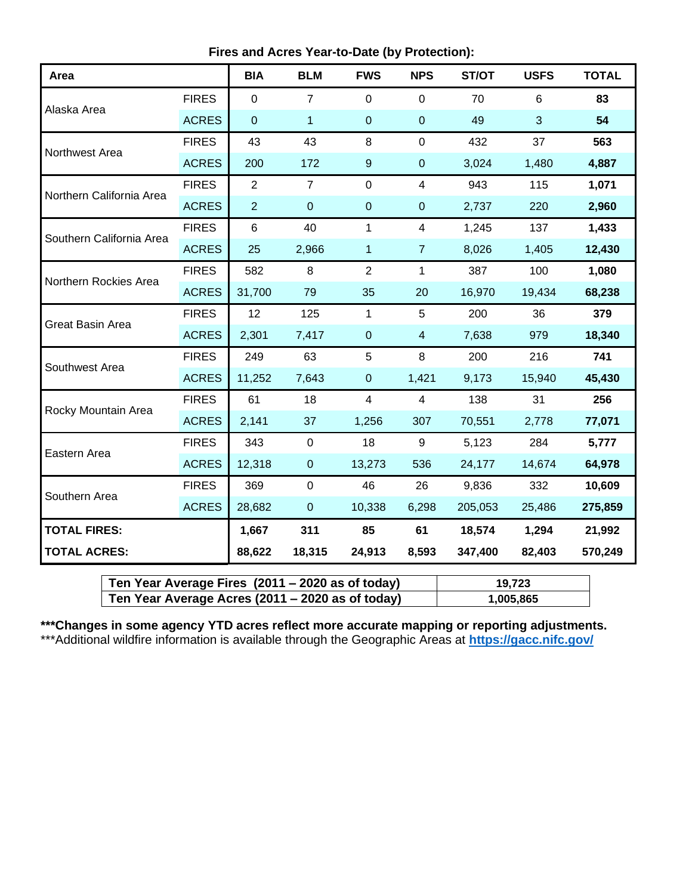**Fires and Acres Year-to-Date (by Protection):**

| Area                     |              | <b>BIA</b>     | <b>BLM</b>     | <b>FWS</b>       | <b>NPS</b>     | ST/OT   | <b>USFS</b> | <b>TOTAL</b> |
|--------------------------|--------------|----------------|----------------|------------------|----------------|---------|-------------|--------------|
|                          | <b>FIRES</b> | $\mathbf 0$    | $\overline{7}$ | 0                | $\mathbf 0$    | 70      | 6           | 83           |
| Alaska Area              | <b>ACRES</b> | $\mathbf 0$    | 1              | $\mathbf 0$      | $\mathbf 0$    | 49      | 3           | 54           |
| Northwest Area           | <b>FIRES</b> | 43             | 43             | 8                | $\mathbf 0$    | 432     | 37          | 563          |
|                          | <b>ACRES</b> | 200            | 172            | $\boldsymbol{9}$ | $\mathbf{0}$   | 3,024   | 1,480       | 4,887        |
| Northern California Area | <b>FIRES</b> | $\overline{2}$ | $\overline{7}$ | 0                | $\overline{4}$ | 943     | 115         | 1,071        |
|                          | <b>ACRES</b> | $\overline{2}$ | $\mathbf 0$    | $\pmb{0}$        | $\pmb{0}$      | 2,737   | 220         | 2,960        |
| Southern California Area | <b>FIRES</b> | 6              | 40             | $\mathbf{1}$     | 4              | 1,245   | 137         | 1,433        |
|                          | <b>ACRES</b> | 25             | 2,966          | 1                | $\overline{7}$ | 8,026   | 1,405       | 12,430       |
| Northern Rockies Area    | <b>FIRES</b> | 582            | 8              | $\overline{2}$   | $\mathbf{1}$   | 387     | 100         | 1,080        |
|                          | <b>ACRES</b> | 31,700         | 79             | 35               | 20             | 16,970  | 19,434      | 68,238       |
| Great Basin Area         | <b>FIRES</b> | 12             | 125            | $\mathbf{1}$     | 5              | 200     | 36          | 379          |
|                          | <b>ACRES</b> | 2,301          | 7,417          | $\mathbf 0$      | $\overline{4}$ | 7,638   | 979         | 18,340       |
| Southwest Area           | <b>FIRES</b> | 249            | 63             | 5                | 8              | 200     | 216         | 741          |
|                          | <b>ACRES</b> | 11,252         | 7,643          | $\mathbf 0$      | 1,421          | 9,173   | 15,940      | 45,430       |
| Rocky Mountain Area      | <b>FIRES</b> | 61             | 18             | 4                | $\overline{4}$ | 138     | 31          | 256          |
|                          | <b>ACRES</b> | 2,141          | 37             | 1,256            | 307            | 70,551  | 2,778       | 77,071       |
| Eastern Area             | <b>FIRES</b> | 343            | $\mathsf 0$    | 18               | 9              | 5,123   | 284         | 5,777        |
|                          | <b>ACRES</b> | 12,318         | $\overline{0}$ | 13,273           | 536            | 24,177  | 14,674      | 64,978       |
|                          | <b>FIRES</b> | 369            | $\mathsf 0$    | 46               | 26             | 9,836   | 332         | 10,609       |
| Southern Area            | <b>ACRES</b> | 28,682         | $\pmb{0}$      | 10,338           | 6,298          | 205,053 | 25,486      | 275,859      |
| <b>TOTAL FIRES:</b>      |              | 1,667          | 311            | 85               | 61             | 18,574  | 1,294       | 21,992       |
| <b>TOTAL ACRES:</b>      |              | 88,622         | 18,315         | 24,913           | 8,593          | 347,400 | 82,403      | 570,249      |

| Ten Year Average Fires $(2011 - 2020$ as of today) | 19.723    |
|----------------------------------------------------|-----------|
| Ten Year Average Acres (2011 – 2020 as of today)   | 1,005,865 |

**\*\*\*Changes in some agency YTD acres reflect more accurate mapping or reporting adjustments.** \*\*\*Additional wildfire information is available through the Geographic Areas at **<https://gacc.nifc.gov/>**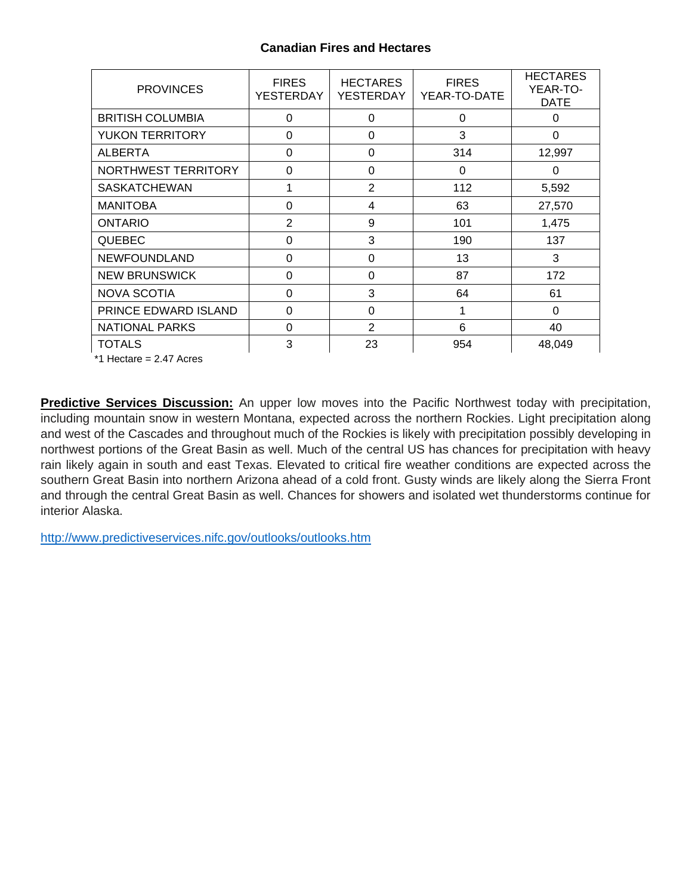## **Canadian Fires and Hectares**

| <b>PROVINCES</b>        | <b>FIRES</b><br><b>YESTERDAY</b> | <b>HECTARES</b><br><b>YESTERDAY</b> | <b>FIRES</b><br>YEAR-TO-DATE | <b>HECTARES</b><br>YEAR-TO-<br><b>DATE</b> |
|-------------------------|----------------------------------|-------------------------------------|------------------------------|--------------------------------------------|
| <b>BRITISH COLUMBIA</b> | $\Omega$                         | $\Omega$                            | $\Omega$                     | $\Omega$                                   |
| <b>YUKON TERRITORY</b>  | 0                                | 0                                   | 3                            | 0                                          |
| <b>ALBERTA</b>          | $\Omega$                         | $\Omega$                            | 314                          | 12,997                                     |
| NORTHWEST TERRITORY     | 0                                | 0                                   | 0                            | 0                                          |
| <b>SASKATCHEWAN</b>     |                                  | $\overline{2}$                      | 112                          | 5,592                                      |
| <b>MANITOBA</b>         | 0                                | 4                                   | 63                           | 27,570                                     |
| <b>ONTARIO</b>          | 2                                | 9                                   | 101                          | 1,475                                      |
| <b>QUEBEC</b>           | $\Omega$                         | 3                                   | 190                          | 137                                        |
| <b>NEWFOUNDLAND</b>     | 0                                | 0                                   | 13                           | 3                                          |
| <b>NEW BRUNSWICK</b>    | 0                                | $\Omega$                            | 87                           | 172                                        |
| <b>NOVA SCOTIA</b>      | $\Omega$                         | 3                                   | 64                           | 61                                         |
| PRINCE EDWARD ISLAND    | 0                                | 0                                   | 1                            | 0                                          |
| <b>NATIONAL PARKS</b>   | 0                                | 2                                   | 6                            | 40                                         |
| <b>TOTALS</b>           | 3                                | 23                                  | 954                          | 48,049                                     |

 $*1$  Hectare = 2.47 Acres

**Predictive Services Discussion:** An upper low moves into the Pacific Northwest today with precipitation, including mountain snow in western Montana, expected across the northern Rockies. Light precipitation along and west of the Cascades and throughout much of the Rockies is likely with precipitation possibly developing in northwest portions of the Great Basin as well. Much of the central US has chances for precipitation with heavy rain likely again in south and east Texas. Elevated to critical fire weather conditions are expected across the southern Great Basin into northern Arizona ahead of a cold front. Gusty winds are likely along the Sierra Front and through the central Great Basin as well. Chances for showers and isolated wet thunderstorms continue for interior Alaska.

<http://www.predictiveservices.nifc.gov/outlooks/outlooks.htm>